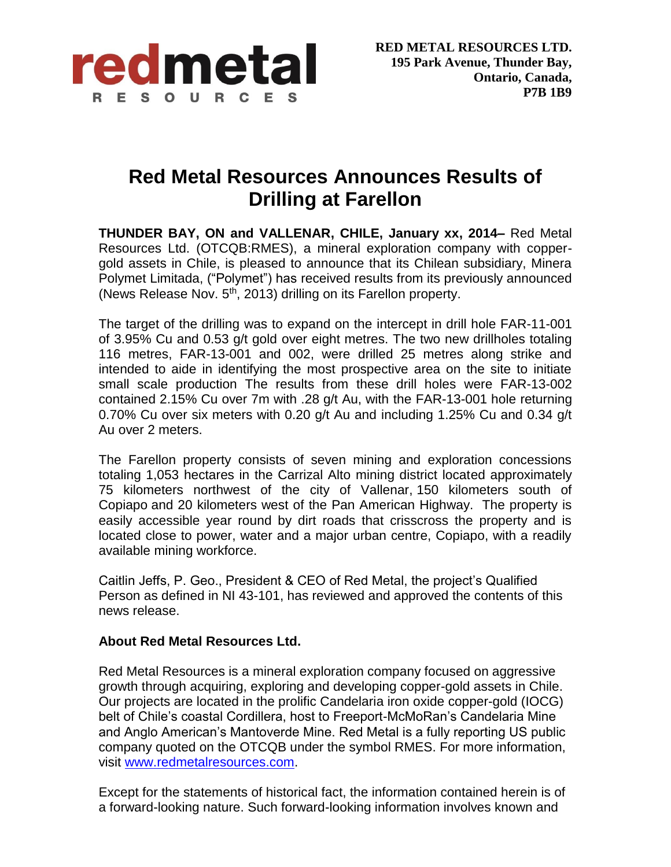

## **Red Metal Resources Announces Results of Drilling at Farellon**

**THUNDER BAY, ON and VALLENAR, CHILE, January xx, 2014–** Red Metal Resources Ltd. (OTCQB:RMES), a mineral exploration company with coppergold assets in Chile, is pleased to announce that its Chilean subsidiary, Minera Polymet Limitada, ("Polymet") has received results from its previously announced (News Release Nov.  $5<sup>th</sup>$ , 2013) drilling on its Farellon property.

The target of the drilling was to expand on the intercept in drill hole FAR-11-001 of 3.95% Cu and 0.53 g/t gold over eight metres. The two new drillholes totaling 116 metres, FAR-13-001 and 002, were drilled 25 metres along strike and intended to aide in identifying the most prospective area on the site to initiate small scale production The results from these drill holes were FAR-13-002 contained 2.15% Cu over 7m with .28 g/t Au, with the FAR-13-001 hole returning 0.70% Cu over six meters with 0.20 g/t Au and including 1.25% Cu and 0.34 g/t Au over 2 meters.

The Farellon property consists of seven mining and exploration concessions totaling 1,053 hectares in the Carrizal Alto mining district located approximately 75 kilometers northwest of the city of Vallenar, 150 kilometers south of Copiapo and 20 kilometers west of the Pan American Highway. The property is easily accessible year round by dirt roads that crisscross the property and is located close to power, water and a major urban centre, Copiapo, with a readily available mining workforce.

Caitlin Jeffs, P. Geo., President & CEO of Red Metal, the project's Qualified Person as defined in NI 43-101, has reviewed and approved the contents of this news release.

## **About Red Metal Resources Ltd.**

Red Metal Resources is a mineral exploration company focused on aggressive growth through acquiring, exploring and developing copper-gold assets in Chile. Our projects are located in the prolific Candelaria iron oxide copper-gold (IOCG) belt of Chile's coastal Cordillera, host to Freeport-McMoRan's Candelaria Mine and Anglo American's Mantoverde Mine. Red Metal is a fully reporting US public company quoted on the OTCQB under the symbol RMES. For more information, visit [www.redmetalresources.com.](http://www.redmetalresources.com/)

Except for the statements of historical fact, the information contained herein is of a forward-looking nature. Such forward-looking information involves known and